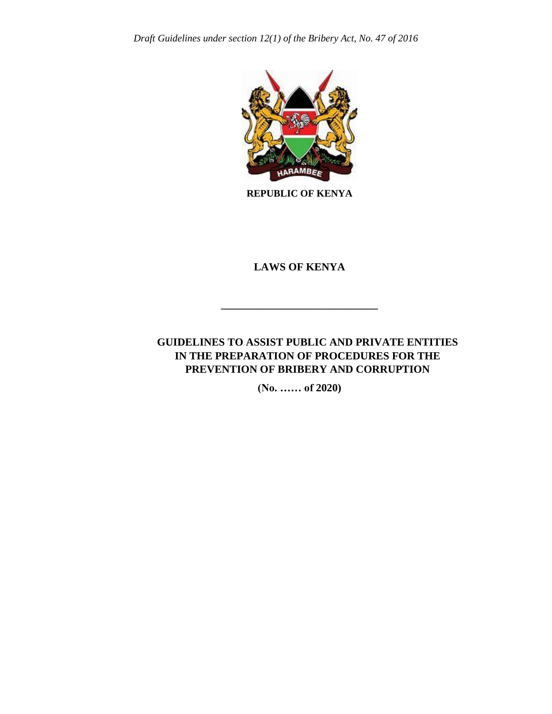

**REPUBLIC OF KENYA**

## **LAWS OF KENYA**

**\_\_\_\_\_\_\_\_\_\_\_\_\_\_\_\_\_\_\_\_\_\_\_\_\_\_\_\_\_**

## **GUIDELINES TO ASSIST PUBLIC AND PRIVATE ENTITIES IN THE PREPARATION OF PROCEDURES FOR THE PREVENTION OF BRIBERY AND CORRUPTION**

**(No. …… of 2020)**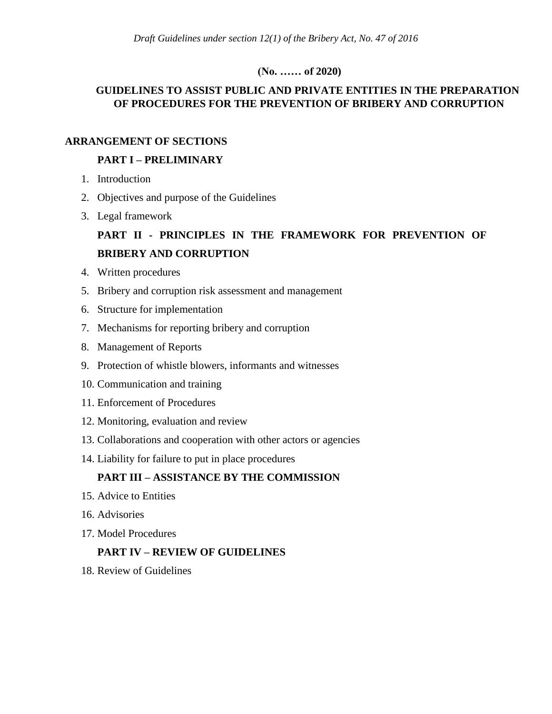#### **(No. …… of 2020)**

## **GUIDELINES TO ASSIST PUBLIC AND PRIVATE ENTITIES IN THE PREPARATION OF PROCEDURES FOR THE PREVENTION OF BRIBERY AND CORRUPTION**

#### **ARRANGEMENT OF SECTIONS**

#### **PART I – PRELIMINARY**

- 1. Introduction
- 2. Objectives and purpose of the Guidelines
- 3. Legal framework

# **PART II - PRINCIPLES IN THE FRAMEWORK FOR PREVENTION OF BRIBERY AND CORRUPTION**

- 4. Written procedures
- 5. Bribery and corruption risk assessment and management
- 6. Structure for implementation
- 7. Mechanisms for reporting bribery and corruption
- 8. Management of Reports
- 9. Protection of whistle blowers, informants and witnesses
- 10. Communication and training
- 11. Enforcement of Procedures
- 12. Monitoring, evaluation and review
- 13. Collaborations and cooperation with other actors or agencies
- 14. Liability for failure to put in place procedures

### **PART III – ASSISTANCE BY THE COMMISSION**

- 15. Advice to Entities
- 16. Advisories
- 17. Model Procedures

### **PART IV – REVIEW OF GUIDELINES**

18. Review of Guidelines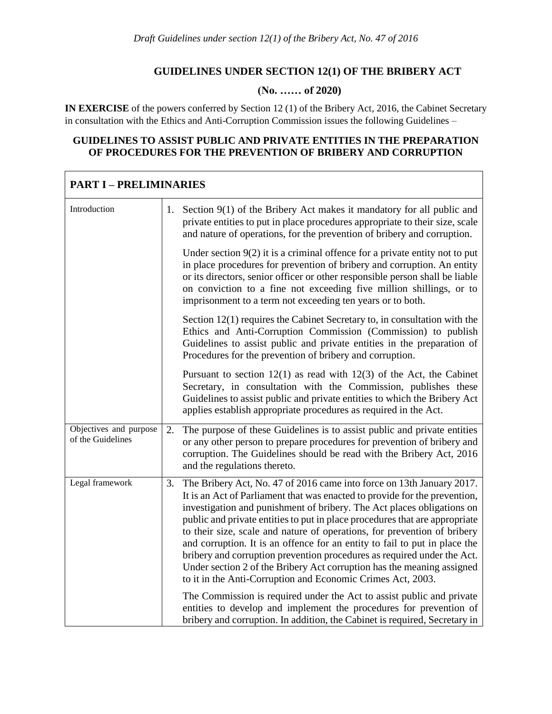# **GUIDELINES UNDER SECTION 12(1) OF THE BRIBERY ACT**

# **(No. …… of 2020)**

**IN EXERCISE** of the powers conferred by Section 12 (1) of the Bribery Act, 2016, the Cabinet Secretary in consultation with the Ethics and Anti-Corruption Commission issues the following Guidelines –

#### **GUIDELINES TO ASSIST PUBLIC AND PRIVATE ENTITIES IN THE PREPARATION OF PROCEDURES FOR THE PREVENTION OF BRIBERY AND CORRUPTION**

 $\mathbf{r}$ 

| <b>PART I - PRELIMINARIES</b>               |    |                                                                                                                                                                                                                                                                                                                                                                                                                                                                                                                                                                                                                                                                                            |
|---------------------------------------------|----|--------------------------------------------------------------------------------------------------------------------------------------------------------------------------------------------------------------------------------------------------------------------------------------------------------------------------------------------------------------------------------------------------------------------------------------------------------------------------------------------------------------------------------------------------------------------------------------------------------------------------------------------------------------------------------------------|
| Introduction                                |    | 1. Section 9(1) of the Bribery Act makes it mandatory for all public and<br>private entities to put in place procedures appropriate to their size, scale<br>and nature of operations, for the prevention of bribery and corruption.                                                                                                                                                                                                                                                                                                                                                                                                                                                        |
|                                             |    | Under section $9(2)$ it is a criminal offence for a private entity not to put<br>in place procedures for prevention of bribery and corruption. An entity<br>or its directors, senior officer or other responsible person shall be liable<br>on conviction to a fine not exceeding five million shillings, or to<br>imprisonment to a term not exceeding ten years or to both.                                                                                                                                                                                                                                                                                                              |
|                                             |    | Section 12(1) requires the Cabinet Secretary to, in consultation with the<br>Ethics and Anti-Corruption Commission (Commission) to publish<br>Guidelines to assist public and private entities in the preparation of<br>Procedures for the prevention of bribery and corruption.                                                                                                                                                                                                                                                                                                                                                                                                           |
|                                             |    | Pursuant to section $12(1)$ as read with $12(3)$ of the Act, the Cabinet<br>Secretary, in consultation with the Commission, publishes these<br>Guidelines to assist public and private entities to which the Bribery Act<br>applies establish appropriate procedures as required in the Act.                                                                                                                                                                                                                                                                                                                                                                                               |
| Objectives and purpose<br>of the Guidelines | 2. | The purpose of these Guidelines is to assist public and private entities<br>or any other person to prepare procedures for prevention of bribery and<br>corruption. The Guidelines should be read with the Bribery Act, 2016<br>and the regulations thereto.                                                                                                                                                                                                                                                                                                                                                                                                                                |
| Legal framework                             | 3. | The Bribery Act, No. 47 of 2016 came into force on 13th January 2017.<br>It is an Act of Parliament that was enacted to provide for the prevention,<br>investigation and punishment of bribery. The Act places obligations on<br>public and private entities to put in place procedures that are appropriate<br>to their size, scale and nature of operations, for prevention of bribery<br>and corruption. It is an offence for an entity to fail to put in place the<br>bribery and corruption prevention procedures as required under the Act.<br>Under section 2 of the Bribery Act corruption has the meaning assigned<br>to it in the Anti-Corruption and Economic Crimes Act, 2003. |
|                                             |    | The Commission is required under the Act to assist public and private<br>entities to develop and implement the procedures for prevention of<br>bribery and corruption. In addition, the Cabinet is required, Secretary in                                                                                                                                                                                                                                                                                                                                                                                                                                                                  |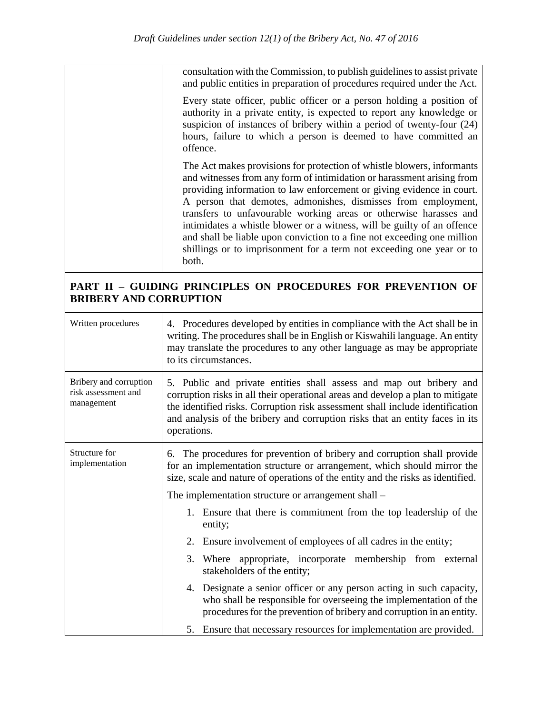| consultation with the Commission, to publish guidelines to assist private<br>and public entities in preparation of procedures required under the Act.                                                                                                                                                                                                                                                                                                                                                                                                                                                  |
|--------------------------------------------------------------------------------------------------------------------------------------------------------------------------------------------------------------------------------------------------------------------------------------------------------------------------------------------------------------------------------------------------------------------------------------------------------------------------------------------------------------------------------------------------------------------------------------------------------|
| Every state officer, public officer or a person holding a position of<br>authority in a private entity, is expected to report any knowledge or<br>suspicion of instances of bribery within a period of twenty-four (24)<br>hours, failure to which a person is deemed to have committed an<br>offence.                                                                                                                                                                                                                                                                                                 |
| The Act makes provisions for protection of whistle blowers, informants<br>and witnesses from any form of intimidation or harassment arising from<br>providing information to law enforcement or giving evidence in court.<br>A person that demotes, admonishes, dismisses from employment,<br>transfers to unfavourable working areas or otherwise harasses and<br>intimidates a whistle blower or a witness, will be guilty of an offence<br>and shall be liable upon conviction to a fine not exceeding one million<br>shillings or to imprisonment for a term not exceeding one year or to<br>both. |

# **PART II – GUIDING PRINCIPLES ON PROCEDURES FOR PREVENTION OF BRIBERY AND CORRUPTION**

| Written procedures                                          | 4. Procedures developed by entities in compliance with the Act shall be in<br>writing. The procedures shall be in English or Kiswahili language. An entity<br>may translate the procedures to any other language as may be appropriate<br>to its circumstances.                                                                       |
|-------------------------------------------------------------|---------------------------------------------------------------------------------------------------------------------------------------------------------------------------------------------------------------------------------------------------------------------------------------------------------------------------------------|
| Bribery and corruption<br>risk assessment and<br>management | 5. Public and private entities shall assess and map out bribery and<br>corruption risks in all their operational areas and develop a plan to mitigate<br>the identified risks. Corruption risk assessment shall include identification<br>and analysis of the bribery and corruption risks that an entity faces in its<br>operations. |
| Structure for<br>implementation                             | The procedures for prevention of bribery and corruption shall provide<br>6.<br>for an implementation structure or arrangement, which should mirror the<br>size, scale and nature of operations of the entity and the risks as identified.                                                                                             |
|                                                             | The implementation structure or arrangement shall –                                                                                                                                                                                                                                                                                   |
|                                                             | 1. Ensure that there is commitment from the top leadership of the<br>entity;                                                                                                                                                                                                                                                          |
|                                                             | Ensure involvement of employees of all cadres in the entity;<br>2.                                                                                                                                                                                                                                                                    |
|                                                             | 3.<br>Where appropriate, incorporate membership from external<br>stakeholders of the entity;                                                                                                                                                                                                                                          |
|                                                             | 4. Designate a senior officer or any person acting in such capacity,<br>who shall be responsible for overseeing the implementation of the<br>procedures for the prevention of bribery and corruption in an entity.                                                                                                                    |
|                                                             | 5. Ensure that necessary resources for implementation are provided.                                                                                                                                                                                                                                                                   |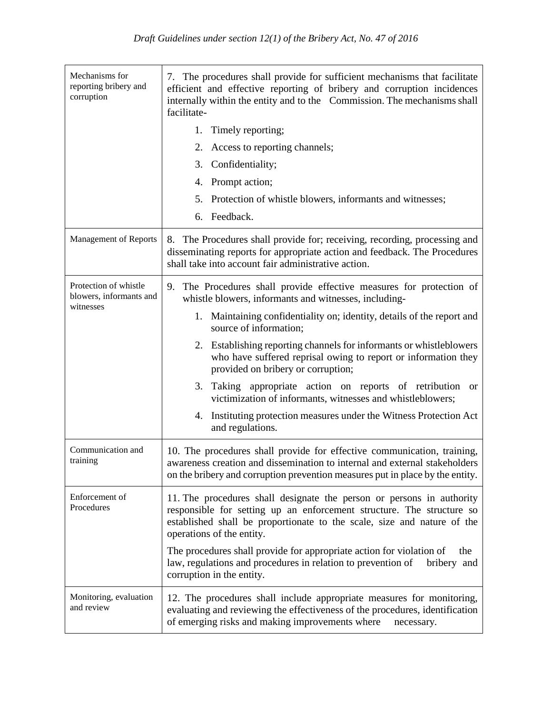| Mechanisms for<br>reporting bribery and<br>corruption | 7. The procedures shall provide for sufficient mechanisms that facilitate<br>efficient and effective reporting of bribery and corruption incidences<br>internally within the entity and to the Commission. The mechanisms shall<br>facilitate-         |  |  |  |
|-------------------------------------------------------|--------------------------------------------------------------------------------------------------------------------------------------------------------------------------------------------------------------------------------------------------------|--|--|--|
|                                                       | 1.<br>Timely reporting;                                                                                                                                                                                                                                |  |  |  |
|                                                       | 2.<br>Access to reporting channels;                                                                                                                                                                                                                    |  |  |  |
|                                                       | 3.<br>Confidentiality;                                                                                                                                                                                                                                 |  |  |  |
|                                                       | Prompt action;<br>4.                                                                                                                                                                                                                                   |  |  |  |
|                                                       | 5.<br>Protection of whistle blowers, informants and witnesses;                                                                                                                                                                                         |  |  |  |
|                                                       | Feedback.<br>6.                                                                                                                                                                                                                                        |  |  |  |
| <b>Management of Reports</b>                          | 8. The Procedures shall provide for; receiving, recording, processing and<br>disseminating reports for appropriate action and feedback. The Procedures<br>shall take into account fair administrative action.                                          |  |  |  |
| Protection of whistle<br>blowers, informants and      | The Procedures shall provide effective measures for protection of<br>9.<br>whistle blowers, informants and witnesses, including-                                                                                                                       |  |  |  |
| witnesses                                             | 1. Maintaining confidentiality on; identity, details of the report and<br>source of information;                                                                                                                                                       |  |  |  |
|                                                       | 2. Establishing reporting channels for informants or whistleblowers<br>who have suffered reprisal owing to report or information they<br>provided on bribery or corruption;                                                                            |  |  |  |
|                                                       | Taking appropriate action on reports of retribution<br>3.<br>or<br>victimization of informants, witnesses and whistleblowers;                                                                                                                          |  |  |  |
|                                                       | Instituting protection measures under the Witness Protection Act<br>4.<br>and regulations.                                                                                                                                                             |  |  |  |
| Communication and<br>training                         | 10. The procedures shall provide for effective communication, training,<br>awareness creation and dissemination to internal and external stakeholders<br>on the bribery and corruption prevention measures put in place by the entity.                 |  |  |  |
| Enforcement of<br>Procedures                          | 11. The procedures shall designate the person or persons in authority<br>responsible for setting up an enforcement structure. The structure so<br>established shall be proportionate to the scale, size and nature of the<br>operations of the entity. |  |  |  |
|                                                       | The procedures shall provide for appropriate action for violation of<br>the<br>law, regulations and procedures in relation to prevention of<br>bribery and<br>corruption in the entity.                                                                |  |  |  |
| Monitoring, evaluation<br>and review                  | 12. The procedures shall include appropriate measures for monitoring,<br>evaluating and reviewing the effectiveness of the procedures, identification<br>of emerging risks and making improvements where<br>necessary.                                 |  |  |  |